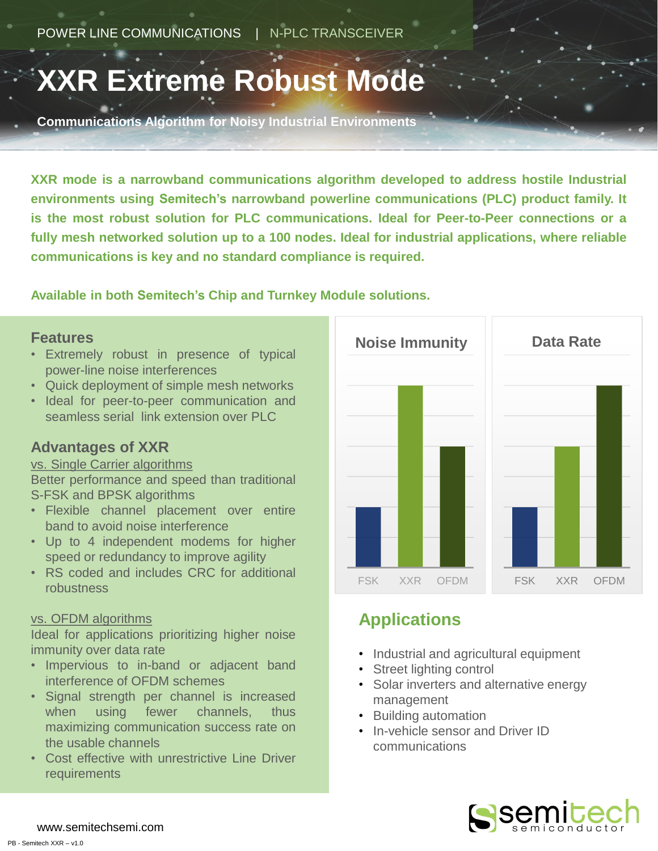# **XXR Extreme Robust Mode**

**Communications Algorithm for Noisy Industrial Environments**

**XXR mode is a narrowband communications algorithm developed to address hostile Industrial environments using Semitech's narrowband powerline communications (PLC) product family. It is the most robust solution for PLC communications. Ideal for Peer-to-Peer connections or a fully mesh networked solution up to a 100 nodes. Ideal for industrial applications, where reliable communications is key and no standard compliance is required.**

#### **Available in both Semitech's Chip and Turnkey Module solutions.**

#### **Features**

- Extremely robust in presence of typical power-line noise interferences
- Quick deployment of simple mesh networks
- Ideal for peer-to-peer communication and seamless serial link extension over PLC

#### **Advantages of XXR**

#### vs. Single Carrier algorithms

Better performance and speed than traditional S-FSK and BPSK algorithms

- Flexible channel placement over entire band to avoid noise interference
- Up to 4 independent modems for higher speed or redundancy to improve agility
- RS coded and includes CRC for additional robustness

#### vs. OFDM algorithms

Ideal for applications prioritizing higher noise immunity over data rate

- Impervious to in-band or adjacent band interference of OFDM schemes
- Signal strength per channel is increased when using fewer channels, thus maximizing communication success rate on the usable channels
- Cost effective with unrestrictive Line Driver requirements



## **Applications**

- Industrial and agricultural equipment
- Street lighting control
- Solar inverters and alternative energy management
- Building automation
- In-vehicle sensor and Driver ID communications